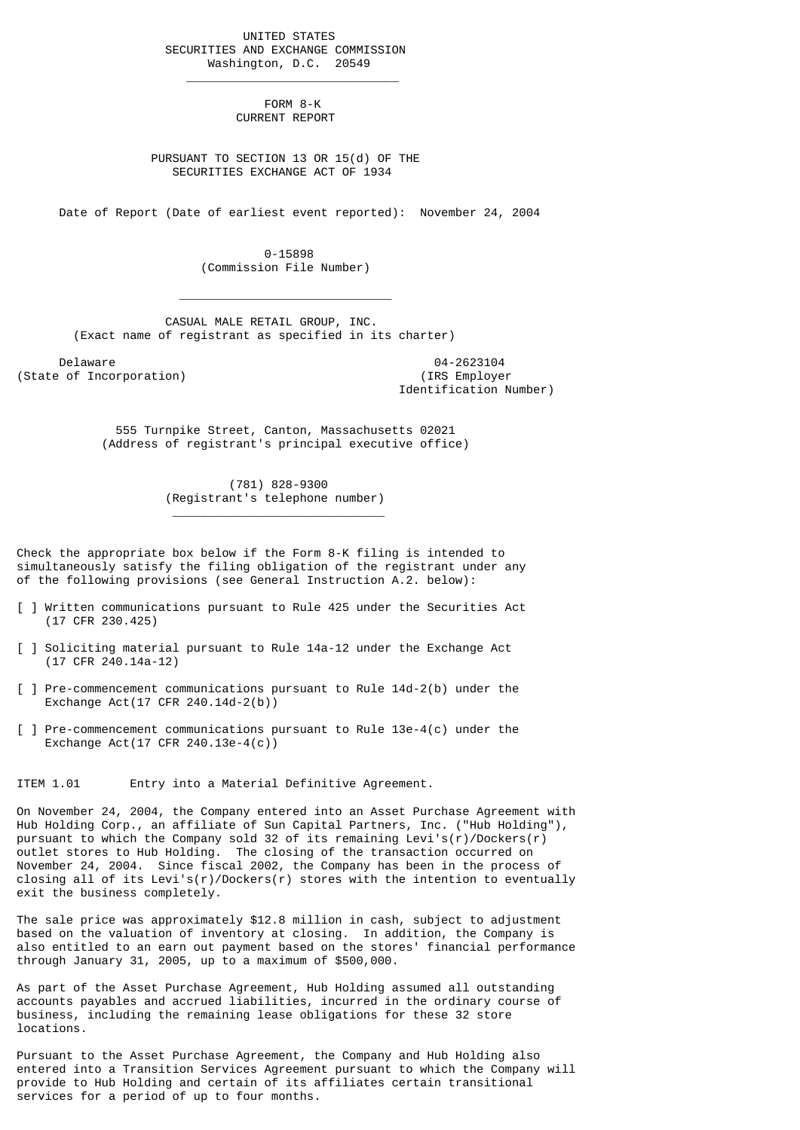UNITED STATES SECURITIES AND EXCHANGE COMMISSION Washington, D.C. 20549

 $\frac{1}{2}$  , and the set of the set of the set of the set of the set of the set of the set of the set of the set of the set of the set of the set of the set of the set of the set of the set of the set of the set of the set

 $\mathcal{L}_\text{max}$  and  $\mathcal{L}_\text{max}$  and  $\mathcal{L}_\text{max}$  and  $\mathcal{L}_\text{max}$  and  $\mathcal{L}_\text{max}$ 

\_\_\_\_\_\_\_\_\_\_\_\_\_\_\_\_\_\_\_\_\_\_\_\_\_\_\_\_\_\_

 FORM 8-K CURRENT REPORT

 PURSUANT TO SECTION 13 OR 15(d) OF THE SECURITIES EXCHANGE ACT OF 1934

Date of Report (Date of earliest event reported): November 24, 2004

 0-15898 (Commission File Number)

 CASUAL MALE RETAIL GROUP, INC. (Exact name of registrant as specified in its charter)

Delaware 04-2623104<br>
Delaware 04-2623104<br>
Of Incorporation (State of Incorporation)

Identification Number)

 555 Turnpike Street, Canton, Massachusetts 02021 (Address of registrant's principal executive office)

> (781) 828-9300 (Registrant's telephone number)

Check the appropriate box below if the Form 8-K filing is intended to simultaneously satisfy the filing obligation of the registrant under any of the following provisions (see General Instruction A.2. below):

- [ ] Written communications pursuant to Rule 425 under the Securities Act (17 CFR 230.425)
- [ ] Soliciting material pursuant to Rule 14a-12 under the Exchange Act (17 CFR 240.14a-12)
- [ ] Pre-commencement communications pursuant to Rule 14d-2(b) under the Exchange Act(17 CFR 240.14d-2(b))
- [ ] Pre-commencement communications pursuant to Rule 13e-4(c) under the Exchange Act(17 CFR 240.13e-4(c))

ITEM 1.01 Entry into a Material Definitive Agreement.

On November 24, 2004, the Company entered into an Asset Purchase Agreement with Hub Holding Corp., an affiliate of Sun Capital Partners, Inc. ("Hub Holding"), pursuant to which the Company sold 32 of its remaining Levi's(r)/Dockers(r) outlet stores to Hub Holding. The closing of the transaction occurred on November 24, 2004. Since fiscal 2002, the Company has been in the process of closing all of its Levi's(r)/Dockers(r) stores with the intention to eventually exit the business completely.

The sale price was approximately \$12.8 million in cash, subject to adjustment based on the valuation of inventory at closing. In addition, the Company is also entitled to an earn out payment based on the stores' financial performance through January 31, 2005, up to a maximum of \$500,000.

As part of the Asset Purchase Agreement, Hub Holding assumed all outstanding accounts payables and accrued liabilities, incurred in the ordinary course of business, including the remaining lease obligations for these 32 store locations.

Pursuant to the Asset Purchase Agreement, the Company and Hub Holding also entered into a Transition Services Agreement pursuant to which the Company will provide to Hub Holding and certain of its affiliates certain transitional services for a period of up to four months.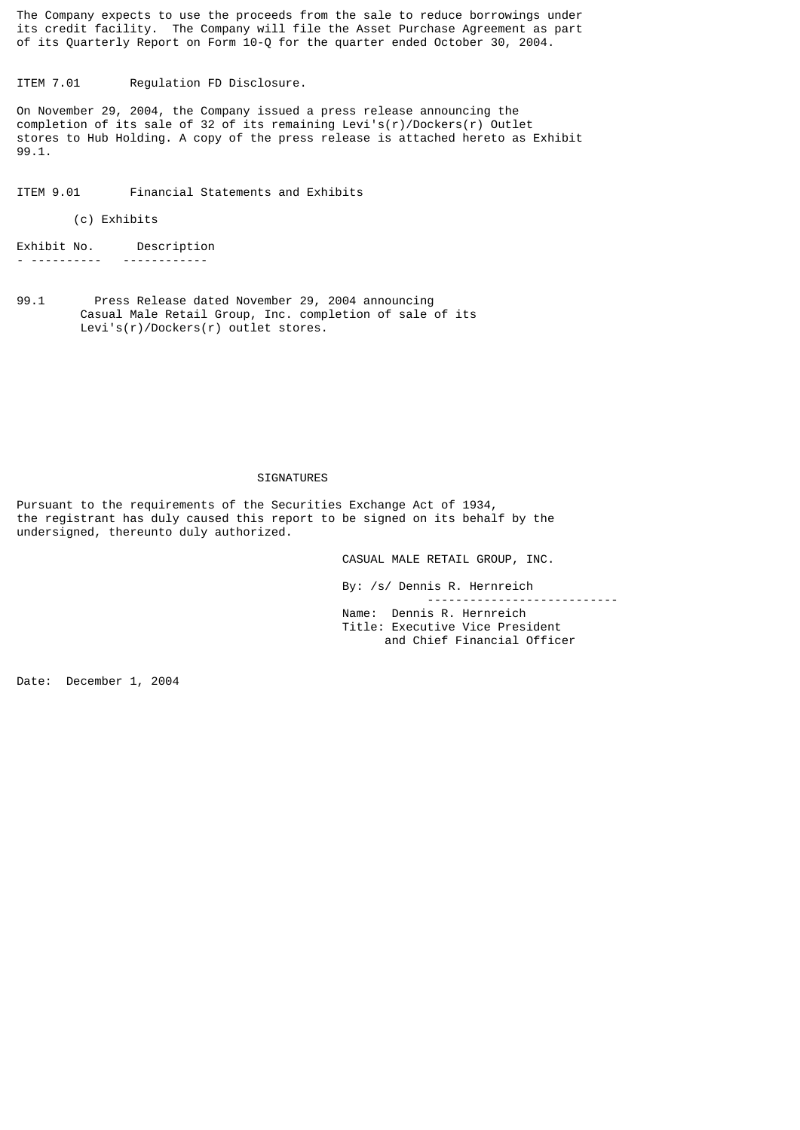The Company expects to use the proceeds from the sale to reduce borrowings under its credit facility. The Company will file the Asset Purchase Agreement as part of its Quarterly Report on Form 10-Q for the quarter ended October 30, 2004.

ITEM 7.01 Regulation FD Disclosure.

On November 29, 2004, the Company issued a press release announcing the completion of its sale of 32 of its remaining Levi's(r)/Dockers(r) Outlet stores to Hub Holding. A copy of the press release is attached hereto as Exhibit 99.1.

ITEM 9.01 Financial Statements and Exhibits

## (c) Exhibits

Exhibit No. Description - ---------- ------------

99.1 Press Release dated November 29, 2004 announcing Casual Male Retail Group, Inc. completion of sale of its Levi's(r)/Dockers(r) outlet stores.

## SIGNATURES

Pursuant to the requirements of the Securities Exchange Act of 1934, the registrant has duly caused this report to be signed on its behalf by the undersigned, thereunto duly authorized.

CASUAL MALE RETAIL GROUP, INC.

 By: /s/ Dennis R. Hernreich --------------------------- Name: Dennis R. Hernreich Title: Executive Vice President and Chief Financial Officer

Date: December 1, 2004